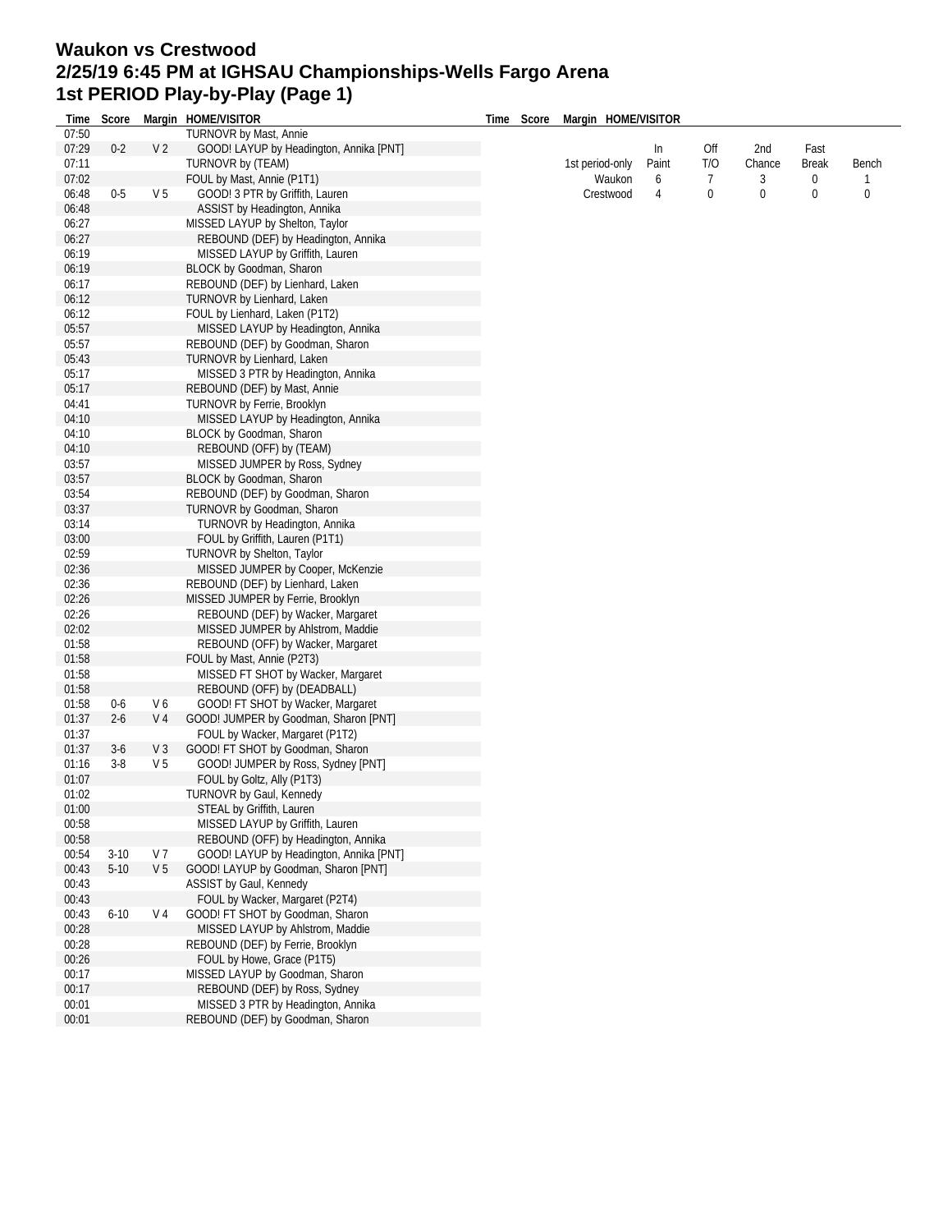## **Waukon vs Crestwood 2/25/19 6:45 PM at IGHSAU Championships-Wells Fargo Arena 1st PERIOD Play-by-Play (Page 1)**

| Time  | Score    |                | Margin HOME/VISITOR                     | Time | Score | Margin HOME/VISITOR |       |     |             |              |       |
|-------|----------|----------------|-----------------------------------------|------|-------|---------------------|-------|-----|-------------|--------------|-------|
| 07:50 |          |                | TURNOVR by Mast, Annie                  |      |       |                     |       |     |             |              |       |
| 07:29 | $0 - 2$  | V <sub>2</sub> | GOOD! LAYUP by Headington, Annika [PNT] |      |       |                     | In    | Off | 2nd         | Fast         |       |
| 07:11 |          |                | TURNOVR by (TEAM)                       |      |       | 1st period-only     | Paint | T/O | Chance      | <b>Break</b> | Bench |
| 07:02 |          |                | FOUL by Mast, Annie (P1T1)              |      |       | Waukon              | 6     | 7   | 3           | 0            | 1     |
| 06:48 | $0-5$    | V <sub>5</sub> | GOOD! 3 PTR by Griffith, Lauren         |      |       | Crestwood           | 4     | 0   | $\mathbf 0$ | $\bf{0}$     | 0     |
| 06:48 |          |                | ASSIST by Headington, Annika            |      |       |                     |       |     |             |              |       |
| 06:27 |          |                | MISSED LAYUP by Shelton, Taylor         |      |       |                     |       |     |             |              |       |
| 06:27 |          |                | REBOUND (DEF) by Headington, Annika     |      |       |                     |       |     |             |              |       |
| 06:19 |          |                | MISSED LAYUP by Griffith, Lauren        |      |       |                     |       |     |             |              |       |
| 06:19 |          |                | BLOCK by Goodman, Sharon                |      |       |                     |       |     |             |              |       |
| 06:17 |          |                | REBOUND (DEF) by Lienhard, Laken        |      |       |                     |       |     |             |              |       |
|       |          |                |                                         |      |       |                     |       |     |             |              |       |
| 06:12 |          |                | TURNOVR by Lienhard, Laken              |      |       |                     |       |     |             |              |       |
| 06:12 |          |                | FOUL by Lienhard, Laken (P1T2)          |      |       |                     |       |     |             |              |       |
| 05:57 |          |                | MISSED LAYUP by Headington, Annika      |      |       |                     |       |     |             |              |       |
| 05:57 |          |                | REBOUND (DEF) by Goodman, Sharon        |      |       |                     |       |     |             |              |       |
| 05:43 |          |                | <b>TURNOVR by Lienhard, Laken</b>       |      |       |                     |       |     |             |              |       |
| 05:17 |          |                | MISSED 3 PTR by Headington, Annika      |      |       |                     |       |     |             |              |       |
| 05:17 |          |                | REBOUND (DEF) by Mast, Annie            |      |       |                     |       |     |             |              |       |
| 04:41 |          |                | TURNOVR by Ferrie, Brooklyn             |      |       |                     |       |     |             |              |       |
| 04:10 |          |                | MISSED LAYUP by Headington, Annika      |      |       |                     |       |     |             |              |       |
| 04:10 |          |                | BLOCK by Goodman, Sharon                |      |       |                     |       |     |             |              |       |
| 04:10 |          |                | REBOUND (OFF) by (TEAM)                 |      |       |                     |       |     |             |              |       |
| 03:57 |          |                | MISSED JUMPER by Ross, Sydney           |      |       |                     |       |     |             |              |       |
| 03:57 |          |                | BLOCK by Goodman, Sharon                |      |       |                     |       |     |             |              |       |
| 03:54 |          |                | REBOUND (DEF) by Goodman, Sharon        |      |       |                     |       |     |             |              |       |
| 03:37 |          |                | TURNOVR by Goodman, Sharon              |      |       |                     |       |     |             |              |       |
| 03:14 |          |                | TURNOVR by Headington, Annika           |      |       |                     |       |     |             |              |       |
| 03:00 |          |                | FOUL by Griffith, Lauren (P1T1)         |      |       |                     |       |     |             |              |       |
| 02:59 |          |                | TURNOVR by Shelton, Taylor              |      |       |                     |       |     |             |              |       |
| 02:36 |          |                | MISSED JUMPER by Cooper, McKenzie       |      |       |                     |       |     |             |              |       |
| 02:36 |          |                | REBOUND (DEF) by Lienhard, Laken        |      |       |                     |       |     |             |              |       |
| 02:26 |          |                | MISSED JUMPER by Ferrie, Brooklyn       |      |       |                     |       |     |             |              |       |
|       |          |                |                                         |      |       |                     |       |     |             |              |       |
| 02:26 |          |                | REBOUND (DEF) by Wacker, Margaret       |      |       |                     |       |     |             |              |       |
| 02:02 |          |                | MISSED JUMPER by Ahlstrom, Maddie       |      |       |                     |       |     |             |              |       |
| 01:58 |          |                | REBOUND (OFF) by Wacker, Margaret       |      |       |                     |       |     |             |              |       |
| 01:58 |          |                | FOUL by Mast, Annie (P2T3)              |      |       |                     |       |     |             |              |       |
| 01:58 |          |                | MISSED FT SHOT by Wacker, Margaret      |      |       |                     |       |     |             |              |       |
| 01:58 |          |                | REBOUND (OFF) by (DEADBALL)             |      |       |                     |       |     |             |              |       |
| 01:58 | $0-6$    | V6             | GOOD! FT SHOT by Wacker, Margaret       |      |       |                     |       |     |             |              |       |
| 01:37 | $2 - 6$  | V 4            | GOOD! JUMPER by Goodman, Sharon [PNT]   |      |       |                     |       |     |             |              |       |
| 01:37 |          |                | FOUL by Wacker, Margaret (P1T2)         |      |       |                     |       |     |             |              |       |
| 01:37 | $3-6$    | V <sub>3</sub> | GOOD! FT SHOT by Goodman, Sharon        |      |       |                     |       |     |             |              |       |
| 01:16 | $3-8$    | V <sub>5</sub> | GOOD! JUMPER by Ross, Sydney [PNT]      |      |       |                     |       |     |             |              |       |
| 01:07 |          |                | FOUL by Goltz, Ally (P1T3)              |      |       |                     |       |     |             |              |       |
| 01:02 |          |                | TURNOVR by Gaul, Kennedy                |      |       |                     |       |     |             |              |       |
| 01:00 |          |                | STEAL by Griffith, Lauren               |      |       |                     |       |     |             |              |       |
| 00:58 |          |                | MISSED LAYUP by Griffith, Lauren        |      |       |                     |       |     |             |              |       |
| 00:58 |          |                | REBOUND (OFF) by Headington, Annika     |      |       |                     |       |     |             |              |       |
| 00:54 | $3-10$   | V 7            | GOOD! LAYUP by Headington, Annika [PNT] |      |       |                     |       |     |             |              |       |
| 00:43 | $5 - 10$ | V <sub>5</sub> | GOOD! LAYUP by Goodman, Sharon [PNT]    |      |       |                     |       |     |             |              |       |
| 00:43 |          |                | ASSIST by Gaul, Kennedy                 |      |       |                     |       |     |             |              |       |
| 00:43 |          |                | FOUL by Wacker, Margaret (P2T4)         |      |       |                     |       |     |             |              |       |
| 00:43 | $6 - 10$ | V 4            | GOOD! FT SHOT by Goodman, Sharon        |      |       |                     |       |     |             |              |       |
|       |          |                |                                         |      |       |                     |       |     |             |              |       |
| 00:28 |          |                | MISSED LAYUP by Ahlstrom, Maddie        |      |       |                     |       |     |             |              |       |
| 00:28 |          |                | REBOUND (DEF) by Ferrie, Brooklyn       |      |       |                     |       |     |             |              |       |
| 00:26 |          |                | FOUL by Howe, Grace (P1T5)              |      |       |                     |       |     |             |              |       |
| 00:17 |          |                | MISSED LAYUP by Goodman, Sharon         |      |       |                     |       |     |             |              |       |
| 00:17 |          |                | REBOUND (DEF) by Ross, Sydney           |      |       |                     |       |     |             |              |       |
| 00:01 |          |                | MISSED 3 PTR by Headington, Annika      |      |       |                     |       |     |             |              |       |
| 00:01 |          |                | REBOUND (DEF) by Goodman, Sharon        |      |       |                     |       |     |             |              |       |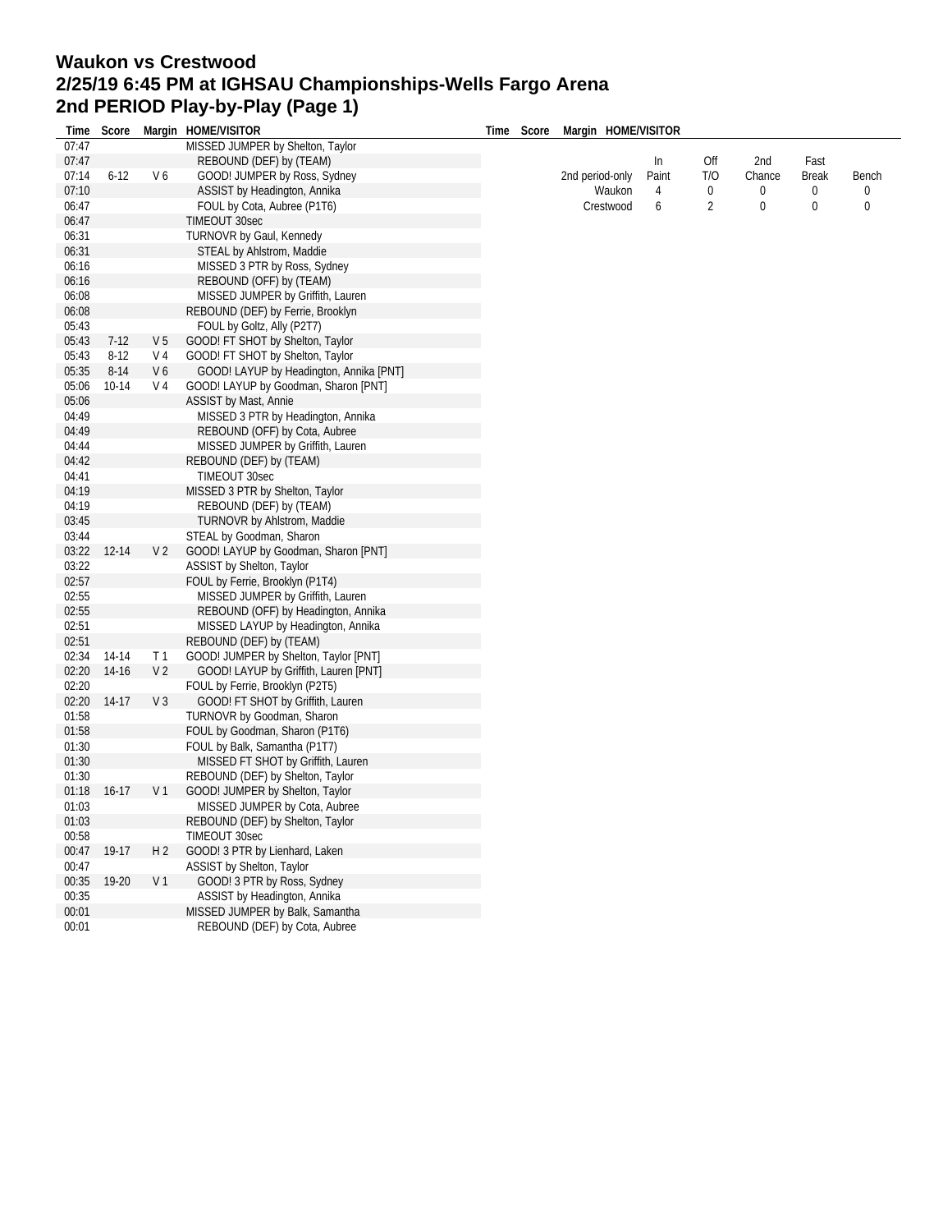## **Waukon vs Crestwood 2/25/19 6:45 PM at IGHSAU Championships-Wells Fargo Arena 2nd PERIOD Play-by-Play (Page 1)**

| Time  | Score       |                | Margin HOME/VISITOR                     | Time | Score | Margin HOME/VISITOR |       |                |             |              |             |
|-------|-------------|----------------|-----------------------------------------|------|-------|---------------------|-------|----------------|-------------|--------------|-------------|
| 07:47 |             |                | MISSED JUMPER by Shelton, Taylor        |      |       |                     |       |                |             |              |             |
| 07:47 |             |                | REBOUND (DEF) by (TEAM)                 |      |       |                     | In    | Off            | 2nd         | Fast         |             |
| 07:14 | $6 - 12$    | V6             | GOOD! JUMPER by Ross, Sydney            |      |       | 2nd period-only     | Paint | T/O            | Chance      | <b>Break</b> | Bench       |
| 07:10 |             |                | ASSIST by Headington, Annika            |      |       | Waukon              | 4     | $\bf 0$        | $\pmb{0}$   | $\bf{0}$     | 0           |
| 06:47 |             |                | FOUL by Cota, Aubree (P1T6)             |      |       | Crestwood           | 6     | $\overline{2}$ | $\mathbf 0$ | $\mathbf{0}$ | $\mathbf 0$ |
| 06:47 |             |                | TIMEOUT 30sec                           |      |       |                     |       |                |             |              |             |
| 06:31 |             |                | TURNOVR by Gaul, Kennedy                |      |       |                     |       |                |             |              |             |
| 06:31 |             |                | STEAL by Ahlstrom, Maddie               |      |       |                     |       |                |             |              |             |
| 06:16 |             |                | MISSED 3 PTR by Ross, Sydney            |      |       |                     |       |                |             |              |             |
| 06:16 |             |                | REBOUND (OFF) by (TEAM)                 |      |       |                     |       |                |             |              |             |
| 06:08 |             |                | MISSED JUMPER by Griffith, Lauren       |      |       |                     |       |                |             |              |             |
| 06:08 |             |                | REBOUND (DEF) by Ferrie, Brooklyn       |      |       |                     |       |                |             |              |             |
| 05:43 |             |                | FOUL by Goltz, Ally (P2T7)              |      |       |                     |       |                |             |              |             |
| 05:43 | $7-12$      | V <sub>5</sub> | GOOD! FT SHOT by Shelton, Taylor        |      |       |                     |       |                |             |              |             |
| 05:43 | $8-12$      | V <sub>4</sub> | GOOD! FT SHOT by Shelton, Taylor        |      |       |                     |       |                |             |              |             |
| 05:35 | $8 - 14$    | V <sub>6</sub> | GOOD! LAYUP by Headington, Annika [PNT] |      |       |                     |       |                |             |              |             |
| 05:06 | $10 - 14$   | V <sub>4</sub> | GOOD! LAYUP by Goodman, Sharon [PNT]    |      |       |                     |       |                |             |              |             |
| 05:06 |             |                | <b>ASSIST by Mast, Annie</b>            |      |       |                     |       |                |             |              |             |
| 04:49 |             |                |                                         |      |       |                     |       |                |             |              |             |
| 04:49 |             |                | MISSED 3 PTR by Headington, Annika      |      |       |                     |       |                |             |              |             |
|       |             |                | REBOUND (OFF) by Cota, Aubree           |      |       |                     |       |                |             |              |             |
| 04:44 |             |                | MISSED JUMPER by Griffith, Lauren       |      |       |                     |       |                |             |              |             |
| 04:42 |             |                | REBOUND (DEF) by (TEAM)                 |      |       |                     |       |                |             |              |             |
| 04:41 |             |                | TIMEOUT 30sec                           |      |       |                     |       |                |             |              |             |
| 04:19 |             |                | MISSED 3 PTR by Shelton, Taylor         |      |       |                     |       |                |             |              |             |
| 04:19 |             |                | REBOUND (DEF) by (TEAM)                 |      |       |                     |       |                |             |              |             |
| 03:45 |             |                | <b>TURNOVR by Ahlstrom, Maddie</b>      |      |       |                     |       |                |             |              |             |
| 03:44 |             |                | STEAL by Goodman, Sharon                |      |       |                     |       |                |             |              |             |
|       | 03:22 12-14 | V <sub>2</sub> | GOOD! LAYUP by Goodman, Sharon [PNT]    |      |       |                     |       |                |             |              |             |
| 03:22 |             |                | ASSIST by Shelton, Taylor               |      |       |                     |       |                |             |              |             |
| 02:57 |             |                | FOUL by Ferrie, Brooklyn (P1T4)         |      |       |                     |       |                |             |              |             |
| 02:55 |             |                | MISSED JUMPER by Griffith, Lauren       |      |       |                     |       |                |             |              |             |
| 02:55 |             |                | REBOUND (OFF) by Headington, Annika     |      |       |                     |       |                |             |              |             |
| 02:51 |             |                | MISSED LAYUP by Headington, Annika      |      |       |                     |       |                |             |              |             |
| 02:51 |             |                | REBOUND (DEF) by (TEAM)                 |      |       |                     |       |                |             |              |             |
| 02:34 | 14-14       | T <sub>1</sub> | GOOD! JUMPER by Shelton, Taylor [PNT]   |      |       |                     |       |                |             |              |             |
| 02:20 | 14-16       | V <sub>2</sub> | GOOD! LAYUP by Griffith, Lauren [PNT]   |      |       |                     |       |                |             |              |             |
| 02:20 |             |                | FOUL by Ferrie, Brooklyn (P2T5)         |      |       |                     |       |                |             |              |             |
| 02:20 | 14-17       | V <sub>3</sub> | GOOD! FT SHOT by Griffith, Lauren       |      |       |                     |       |                |             |              |             |
| 01:58 |             |                | TURNOVR by Goodman, Sharon              |      |       |                     |       |                |             |              |             |
| 01:58 |             |                | FOUL by Goodman, Sharon (P1T6)          |      |       |                     |       |                |             |              |             |
| 01:30 |             |                | FOUL by Balk, Samantha (P1T7)           |      |       |                     |       |                |             |              |             |
| 01:30 |             |                | MISSED FT SHOT by Griffith, Lauren      |      |       |                     |       |                |             |              |             |
| 01:30 |             |                | REBOUND (DEF) by Shelton, Taylor        |      |       |                     |       |                |             |              |             |
| 01:18 | $16-17$     | V <sub>1</sub> | GOOD! JUMPER by Shelton, Taylor         |      |       |                     |       |                |             |              |             |
| 01:03 |             |                | MISSED JUMPER by Cota, Aubree           |      |       |                     |       |                |             |              |             |
| 01:03 |             |                | REBOUND (DEF) by Shelton, Taylor        |      |       |                     |       |                |             |              |             |
| 00:58 |             |                | TIMEOUT 30sec                           |      |       |                     |       |                |             |              |             |
| 00:47 | 19-17       | H <sub>2</sub> | GOOD! 3 PTR by Lienhard, Laken          |      |       |                     |       |                |             |              |             |
| 00:47 |             |                | ASSIST by Shelton, Taylor               |      |       |                     |       |                |             |              |             |
| 00:35 | 19-20       | V <sub>1</sub> | GOOD! 3 PTR by Ross, Sydney             |      |       |                     |       |                |             |              |             |
| 00:35 |             |                | ASSIST by Headington, Annika            |      |       |                     |       |                |             |              |             |
| 00:01 |             |                | MISSED JUMPER by Balk, Samantha         |      |       |                     |       |                |             |              |             |
| 00:01 |             |                | REBOUND (DEF) by Cota, Aubree           |      |       |                     |       |                |             |              |             |
|       |             |                |                                         |      |       |                     |       |                |             |              |             |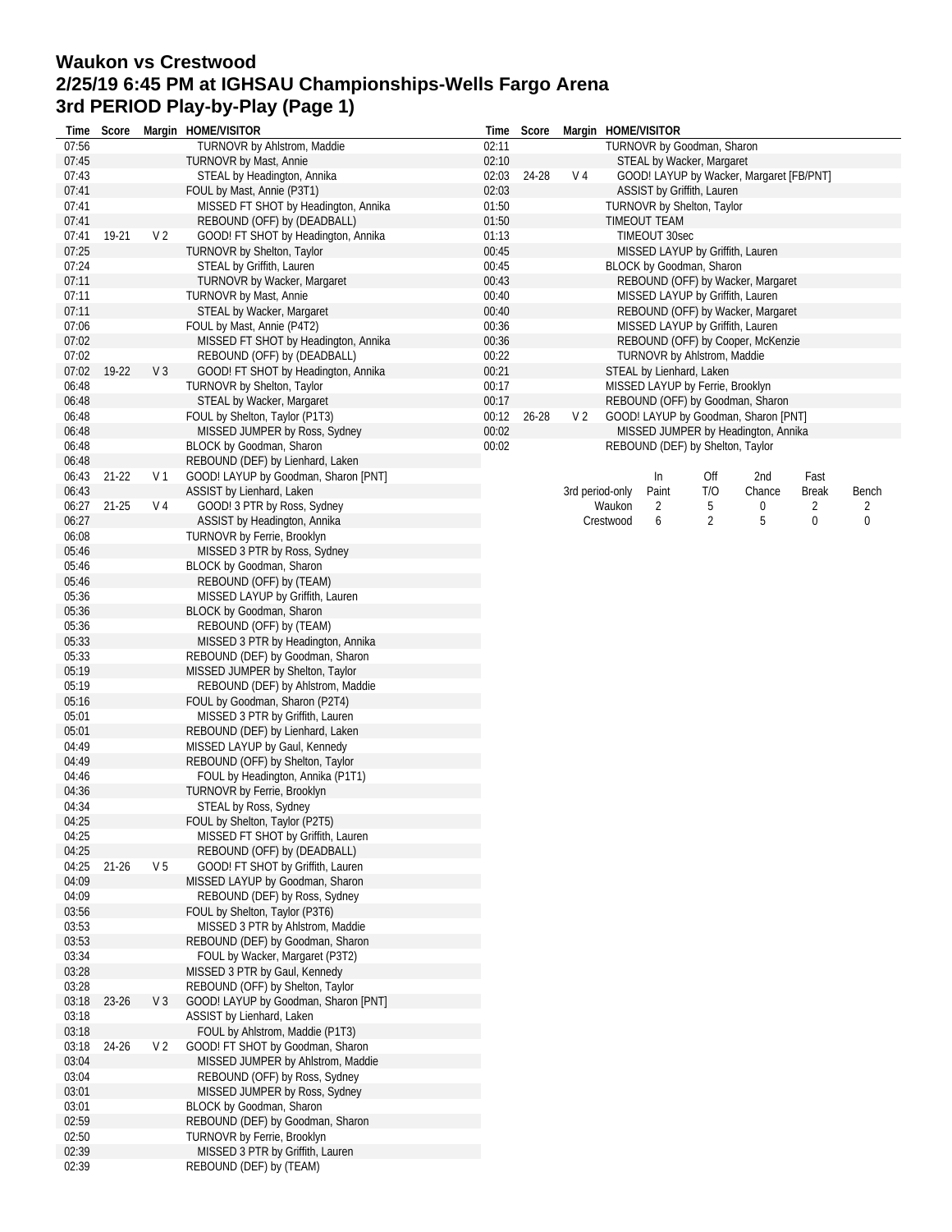## **Waukon vs Crestwood 2/25/19 6:45 PM at IGHSAU Championships-Wells Fargo Arena 3rd PERIOD Play-by-Play (Page 1)**

| Time           | Score     |                | Margin HOME/VISITOR                                           | Time  | Score     |                                                         | Margin HOME/VISITOR                      |               |                                  |                                      |              |       |  |  |  |
|----------------|-----------|----------------|---------------------------------------------------------------|-------|-----------|---------------------------------------------------------|------------------------------------------|---------------|----------------------------------|--------------------------------------|--------------|-------|--|--|--|
| 07:56          |           |                | TURNOVR by Ahlstrom, Maddie                                   | 02:11 |           |                                                         |                                          |               | TURNOVR by Goodman, Sharon       |                                      |              |       |  |  |  |
| 07:45          |           |                | <b>TURNOVR by Mast, Annie</b>                                 | 02:10 |           |                                                         |                                          |               | STEAL by Wacker, Margaret        |                                      |              |       |  |  |  |
| 07:43          |           |                | STEAL by Headington, Annika                                   | 02:03 | 24-28     | V <sub>4</sub>                                          | GOOD! LAYUP by Wacker, Margaret [FB/PNT] |               |                                  |                                      |              |       |  |  |  |
| 07:41          |           |                | FOUL by Mast, Annie (P3T1)                                    | 02:03 |           |                                                         |                                          |               | ASSIST by Griffith, Lauren       |                                      |              |       |  |  |  |
| 07:41          |           |                | MISSED FT SHOT by Headington, Annika                          | 01:50 |           |                                                         |                                          |               | TURNOVR by Shelton, Taylor       |                                      |              |       |  |  |  |
| 07:41          |           |                | REBOUND (OFF) by (DEADBALL)                                   | 01:50 |           |                                                         |                                          | TIMEOUT TEAM  |                                  |                                      |              |       |  |  |  |
| 07:41          | 19-21     | V <sub>2</sub> | GOOD! FT SHOT by Headington, Annika                           | 01:13 |           |                                                         |                                          | TIMEOUT 30sec |                                  |                                      |              |       |  |  |  |
| 07:25          |           |                | TURNOVR by Shelton, Taylor                                    | 00:45 |           |                                                         |                                          |               | MISSED LAYUP by Griffith, Lauren |                                      |              |       |  |  |  |
| 07:24          |           |                | STEAL by Griffith, Lauren                                     | 00:45 |           |                                                         | BLOCK by Goodman, Sharon                 |               |                                  |                                      |              |       |  |  |  |
| 07:11          |           |                | TURNOVR by Wacker, Margaret                                   | 00:43 |           | REBOUND (OFF) by Wacker, Margaret                       |                                          |               |                                  |                                      |              |       |  |  |  |
| 07:11          |           |                | TURNOVR by Mast, Annie                                        | 00:40 |           | MISSED LAYUP by Griffith, Lauren                        |                                          |               |                                  |                                      |              |       |  |  |  |
| 07:11          |           |                | STEAL by Wacker, Margaret                                     | 00:40 |           | REBOUND (OFF) by Wacker, Margaret                       |                                          |               |                                  |                                      |              |       |  |  |  |
| 07:06          |           |                | FOUL by Mast, Annie (P4T2)                                    | 00:36 |           | MISSED LAYUP by Griffith, Lauren                        |                                          |               |                                  |                                      |              |       |  |  |  |
| 07:02          |           |                | MISSED FT SHOT by Headington, Annika                          | 00:36 |           | REBOUND (OFF) by Cooper, McKenzie                       |                                          |               |                                  |                                      |              |       |  |  |  |
| 07:02          |           |                | REBOUND (OFF) by (DEADBALL)                                   | 00:22 |           | TURNOVR by Ahlstrom, Maddie<br>STEAL by Lienhard, Laken |                                          |               |                                  |                                      |              |       |  |  |  |
| 07:02          | 19-22     | V <sub>3</sub> | GOOD! FT SHOT by Headington, Annika                           | 00:21 |           |                                                         |                                          |               |                                  |                                      |              |       |  |  |  |
| 06:48          |           |                | TURNOVR by Shelton, Taylor                                    | 00:17 |           |                                                         |                                          |               | MISSED LAYUP by Ferrie, Brooklyn |                                      |              |       |  |  |  |
| 06:48          |           |                | STEAL by Wacker, Margaret                                     | 00:17 |           |                                                         |                                          |               |                                  | REBOUND (OFF) by Goodman, Sharon     |              |       |  |  |  |
| 06:48          |           |                | FOUL by Shelton, Taylor (P1T3)                                | 00:12 | $26 - 28$ | V <sub>2</sub>                                          |                                          |               |                                  | GOOD! LAYUP by Goodman, Sharon [PNT] |              |       |  |  |  |
| 06:48          |           |                | MISSED JUMPER by Ross, Sydney                                 | 00:02 |           |                                                         |                                          |               |                                  | MISSED JUMPER by Headington, Annika  |              |       |  |  |  |
| 06:48          |           |                | BLOCK by Goodman, Sharon                                      | 00:02 |           |                                                         |                                          |               | REBOUND (DEF) by Shelton, Taylor |                                      |              |       |  |  |  |
| 06:48          |           |                | REBOUND (DEF) by Lienhard, Laken                              |       |           |                                                         |                                          |               |                                  |                                      |              |       |  |  |  |
| 06:43          | $21 - 22$ | V <sub>1</sub> | GOOD! LAYUP by Goodman, Sharon [PNT]                          |       |           |                                                         |                                          | In            | Off                              | 2nd                                  | Fast         |       |  |  |  |
| 06:43          |           |                | ASSIST by Lienhard, Laken                                     |       |           |                                                         | 3rd period-only                          | Paint         | T/O                              | Chance                               | <b>Break</b> | Bench |  |  |  |
| 06:27          | 21-25     | V 4            | GOOD! 3 PTR by Ross, Sydney                                   |       |           |                                                         | Waukon                                   | 2             | 5                                | 0                                    | 2            | 2     |  |  |  |
| 06:27          |           |                | ASSIST by Headington, Annika                                  |       |           |                                                         | Crestwood                                | 6             | 2                                | 5                                    | 0            | 0     |  |  |  |
| 06:08          |           |                | TURNOVR by Ferrie, Brooklyn                                   |       |           |                                                         |                                          |               |                                  |                                      |              |       |  |  |  |
| 05:46          |           |                | MISSED 3 PTR by Ross, Sydney                                  |       |           |                                                         |                                          |               |                                  |                                      |              |       |  |  |  |
| 05:46          |           |                | BLOCK by Goodman, Sharon                                      |       |           |                                                         |                                          |               |                                  |                                      |              |       |  |  |  |
| 05:46          |           |                | REBOUND (OFF) by (TEAM)                                       |       |           |                                                         |                                          |               |                                  |                                      |              |       |  |  |  |
| 05:36          |           |                | MISSED LAYUP by Griffith, Lauren                              |       |           |                                                         |                                          |               |                                  |                                      |              |       |  |  |  |
| 05:36<br>05:36 |           |                | BLOCK by Goodman, Sharon                                      |       |           |                                                         |                                          |               |                                  |                                      |              |       |  |  |  |
| 05:33          |           |                | REBOUND (OFF) by (TEAM)<br>MISSED 3 PTR by Headington, Annika |       |           |                                                         |                                          |               |                                  |                                      |              |       |  |  |  |
| 05:33          |           |                | REBOUND (DEF) by Goodman, Sharon                              |       |           |                                                         |                                          |               |                                  |                                      |              |       |  |  |  |
| 05:19          |           |                | MISSED JUMPER by Shelton, Taylor                              |       |           |                                                         |                                          |               |                                  |                                      |              |       |  |  |  |
| 05:19          |           |                | REBOUND (DEF) by Ahlstrom, Maddie                             |       |           |                                                         |                                          |               |                                  |                                      |              |       |  |  |  |
| 05:16          |           |                | FOUL by Goodman, Sharon (P2T4)                                |       |           |                                                         |                                          |               |                                  |                                      |              |       |  |  |  |
| 05:01          |           |                | MISSED 3 PTR by Griffith, Lauren                              |       |           |                                                         |                                          |               |                                  |                                      |              |       |  |  |  |
| 05:01          |           |                | REBOUND (DEF) by Lienhard, Laken                              |       |           |                                                         |                                          |               |                                  |                                      |              |       |  |  |  |
| 04:49          |           |                | MISSED LAYUP by Gaul, Kennedy                                 |       |           |                                                         |                                          |               |                                  |                                      |              |       |  |  |  |
| 04:49          |           |                | REBOUND (OFF) by Shelton, Taylor                              |       |           |                                                         |                                          |               |                                  |                                      |              |       |  |  |  |
| 04:46          |           |                | FOUL by Headington, Annika (P1T1)                             |       |           |                                                         |                                          |               |                                  |                                      |              |       |  |  |  |
| 04:36          |           |                | TURNOVR by Ferrie, Brooklyn                                   |       |           |                                                         |                                          |               |                                  |                                      |              |       |  |  |  |
| 04:34          |           |                | STEAL by Ross, Sydney                                         |       |           |                                                         |                                          |               |                                  |                                      |              |       |  |  |  |
| 04:25          |           |                | FOUL by Shelton, Taylor (P2T5)                                |       |           |                                                         |                                          |               |                                  |                                      |              |       |  |  |  |
| 04:25          |           |                | MISSED FT SHOT by Griffith, Lauren                            |       |           |                                                         |                                          |               |                                  |                                      |              |       |  |  |  |
| 04:25          |           |                | REBOUND (OFF) by (DEADBALL)                                   |       |           |                                                         |                                          |               |                                  |                                      |              |       |  |  |  |
| 04:25          | $21 - 26$ | V <sub>5</sub> | GOOD! FT SHOT by Griffith, Lauren                             |       |           |                                                         |                                          |               |                                  |                                      |              |       |  |  |  |
| 04:09          |           |                | MISSED LAYUP by Goodman, Sharon                               |       |           |                                                         |                                          |               |                                  |                                      |              |       |  |  |  |
| 04:09          |           |                | REBOUND (DEF) by Ross, Sydney                                 |       |           |                                                         |                                          |               |                                  |                                      |              |       |  |  |  |
| 03:56          |           |                | FOUL by Shelton, Taylor (P3T6)                                |       |           |                                                         |                                          |               |                                  |                                      |              |       |  |  |  |
| 03:53          |           |                | MISSED 3 PTR by Ahlstrom, Maddie                              |       |           |                                                         |                                          |               |                                  |                                      |              |       |  |  |  |
| 03:53          |           |                | REBOUND (DEF) by Goodman, Sharon                              |       |           |                                                         |                                          |               |                                  |                                      |              |       |  |  |  |
| 03:34          |           |                | FOUL by Wacker, Margaret (P3T2)                               |       |           |                                                         |                                          |               |                                  |                                      |              |       |  |  |  |
| 03:28          |           |                | MISSED 3 PTR by Gaul, Kennedy                                 |       |           |                                                         |                                          |               |                                  |                                      |              |       |  |  |  |
| 03:28          |           |                | REBOUND (OFF) by Shelton, Taylor                              |       |           |                                                         |                                          |               |                                  |                                      |              |       |  |  |  |
| 03:18          | $23 - 26$ | $V_3$          | GOOD! LAYUP by Goodman, Sharon [PNT]                          |       |           |                                                         |                                          |               |                                  |                                      |              |       |  |  |  |
| 03:18          |           |                | ASSIST by Lienhard, Laken                                     |       |           |                                                         |                                          |               |                                  |                                      |              |       |  |  |  |
| 03:18          |           |                | FOUL by Ahlstrom, Maddie (P1T3)                               |       |           |                                                         |                                          |               |                                  |                                      |              |       |  |  |  |
| 03:18          | 24-26     | V <sub>2</sub> | GOOD! FT SHOT by Goodman, Sharon                              |       |           |                                                         |                                          |               |                                  |                                      |              |       |  |  |  |
| 03:04          |           |                | MISSED JUMPER by Ahlstrom, Maddie                             |       |           |                                                         |                                          |               |                                  |                                      |              |       |  |  |  |
| 03:04          |           |                | REBOUND (OFF) by Ross, Sydney                                 |       |           |                                                         |                                          |               |                                  |                                      |              |       |  |  |  |
| 03:01          |           |                | MISSED JUMPER by Ross, Sydney                                 |       |           |                                                         |                                          |               |                                  |                                      |              |       |  |  |  |
| 03:01          |           |                | <b>BLOCK by Goodman, Sharon</b>                               |       |           |                                                         |                                          |               |                                  |                                      |              |       |  |  |  |
| 02:59          |           |                | REBOUND (DEF) by Goodman, Sharon                              |       |           |                                                         |                                          |               |                                  |                                      |              |       |  |  |  |
| 02:50          |           |                | TURNOVR by Ferrie, Brooklyn                                   |       |           |                                                         |                                          |               |                                  |                                      |              |       |  |  |  |
| 02:39          |           |                | MISSED 3 PTR by Griffith, Lauren                              |       |           |                                                         |                                          |               |                                  |                                      |              |       |  |  |  |
| 02:39          |           |                | REBOUND (DEF) by (TEAM)                                       |       |           |                                                         |                                          |               |                                  |                                      |              |       |  |  |  |